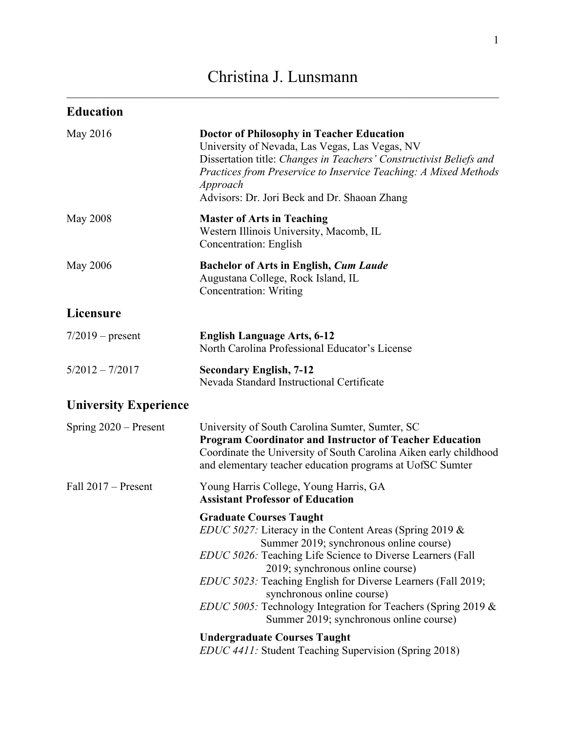# Christina J. Lunsmann

| <b>Education</b>             |                                                                                                                                                                                                                                                                                                                                                                                                                                                                                                          |
|------------------------------|----------------------------------------------------------------------------------------------------------------------------------------------------------------------------------------------------------------------------------------------------------------------------------------------------------------------------------------------------------------------------------------------------------------------------------------------------------------------------------------------------------|
| May 2016                     | <b>Doctor of Philosophy in Teacher Education</b><br>University of Nevada, Las Vegas, Las Vegas, NV<br>Dissertation title: Changes in Teachers' Constructivist Beliefs and<br>Practices from Preservice to Inservice Teaching: A Mixed Methods<br>Approach<br>Advisors: Dr. Jori Beck and Dr. Shaoan Zhang                                                                                                                                                                                                |
| <b>May 2008</b>              | <b>Master of Arts in Teaching</b><br>Western Illinois University, Macomb, IL<br><b>Concentration: English</b>                                                                                                                                                                                                                                                                                                                                                                                            |
| <b>May 2006</b>              | <b>Bachelor of Arts in English, Cum Laude</b><br>Augustana College, Rock Island, IL<br><b>Concentration: Writing</b>                                                                                                                                                                                                                                                                                                                                                                                     |
| Licensure                    |                                                                                                                                                                                                                                                                                                                                                                                                                                                                                                          |
| $7/2019$ – present           | <b>English Language Arts, 6-12</b><br>North Carolina Professional Educator's License                                                                                                                                                                                                                                                                                                                                                                                                                     |
| $5/2012 - 7/2017$            | <b>Secondary English, 7-12</b><br>Nevada Standard Instructional Certificate                                                                                                                                                                                                                                                                                                                                                                                                                              |
| <b>University Experience</b> |                                                                                                                                                                                                                                                                                                                                                                                                                                                                                                          |
| Spring $2020$ – Present      | University of South Carolina Sumter, Sumter, SC<br><b>Program Coordinator and Instructor of Teacher Education</b><br>Coordinate the University of South Carolina Aiken early childhood<br>and elementary teacher education programs at UofSC Sumter                                                                                                                                                                                                                                                      |
| Fall $2017$ – Present        | Young Harris College, Young Harris, GA<br><b>Assistant Professor of Education</b>                                                                                                                                                                                                                                                                                                                                                                                                                        |
|                              | <b>Graduate Courses Taught</b><br><i>EDUC 5027:</i> Literacy in the Content Areas (Spring 2019 $\&$<br>Summer 2019; synchronous online course)<br>EDUC 5026: Teaching Life Science to Diverse Learners (Fall<br>2019; synchronous online course)<br>EDUC 5023: Teaching English for Diverse Learners (Fall 2019;<br>synchronous online course)<br><i>EDUC 5005:</i> Technology Integration for Teachers (Spring 2019 &<br>Summer 2019; synchronous online course)<br><b>Undergraduate Courses Taught</b> |
|                              | <i>EDUC 4411</i> : Student Teaching Supervision (Spring 2018)                                                                                                                                                                                                                                                                                                                                                                                                                                            |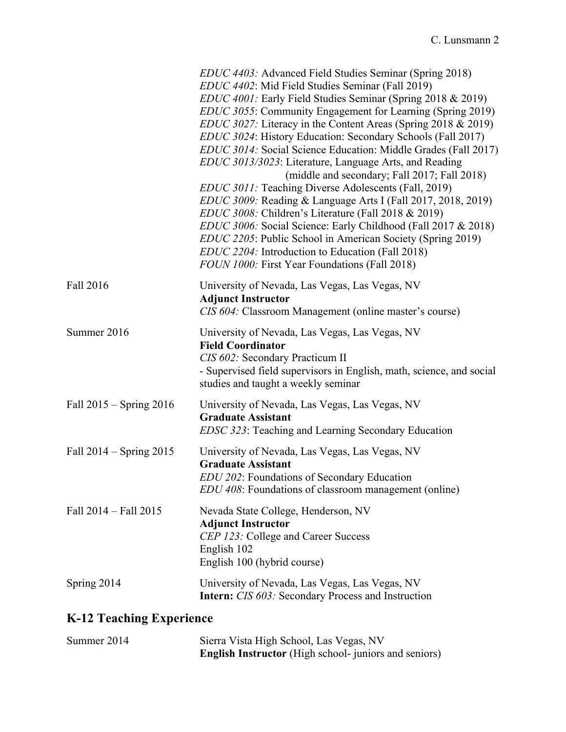|                             | <i>EDUC 4403:</i> Advanced Field Studies Seminar (Spring 2018)<br>EDUC 4402: Mid Field Studies Seminar (Fall 2019)<br>EDUC 4001: Early Field Studies Seminar (Spring 2018 & 2019)<br><i>EDUC 3055</i> : Community Engagement for Learning (Spring 2019)<br><i>EDUC 3027:</i> Literacy in the Content Areas (Spring 2018 & 2019)<br>EDUC 3024: History Education: Secondary Schools (Fall 2017)<br>EDUC 3014: Social Science Education: Middle Grades (Fall 2017)<br>EDUC 3013/3023: Literature, Language Arts, and Reading<br>(middle and secondary; Fall 2017; Fall 2018)<br><i>EDUC 3011:</i> Teaching Diverse Adolescents (Fall, 2019)<br><i>EDUC 3009:</i> Reading & Language Arts I (Fall 2017, 2018, 2019)<br>EDUC 3008: Children's Literature (Fall 2018 & 2019)<br>EDUC 3006: Social Science: Early Childhood (Fall 2017 & 2018)<br>EDUC 2205: Public School in American Society (Spring 2019)<br>EDUC 2204: Introduction to Education (Fall 2018)<br>FOUN 1000: First Year Foundations (Fall 2018) |
|-----------------------------|-------------------------------------------------------------------------------------------------------------------------------------------------------------------------------------------------------------------------------------------------------------------------------------------------------------------------------------------------------------------------------------------------------------------------------------------------------------------------------------------------------------------------------------------------------------------------------------------------------------------------------------------------------------------------------------------------------------------------------------------------------------------------------------------------------------------------------------------------------------------------------------------------------------------------------------------------------------------------------------------------------------|
| Fall 2016                   | University of Nevada, Las Vegas, Las Vegas, NV<br><b>Adjunct Instructor</b><br>CIS 604: Classroom Management (online master's course)                                                                                                                                                                                                                                                                                                                                                                                                                                                                                                                                                                                                                                                                                                                                                                                                                                                                       |
| Summer 2016                 | University of Nevada, Las Vegas, Las Vegas, NV<br><b>Field Coordinator</b><br>CIS 602: Secondary Practicum II<br>- Supervised field supervisors in English, math, science, and social<br>studies and taught a weekly seminar                                                                                                                                                                                                                                                                                                                                                                                                                                                                                                                                                                                                                                                                                                                                                                                |
| Fall $2015 -$ Spring $2016$ | University of Nevada, Las Vegas, Las Vegas, NV<br><b>Graduate Assistant</b><br><i>EDSC 323</i> : Teaching and Learning Secondary Education                                                                                                                                                                                                                                                                                                                                                                                                                                                                                                                                                                                                                                                                                                                                                                                                                                                                  |
| Fall $2014 -$ Spring $2015$ | University of Nevada, Las Vegas, Las Vegas, NV<br><b>Graduate Assistant</b><br>EDU 202: Foundations of Secondary Education<br><i>EDU 408</i> : Foundations of classroom management (online)                                                                                                                                                                                                                                                                                                                                                                                                                                                                                                                                                                                                                                                                                                                                                                                                                 |
| Fall 2014 - Fall 2015       | Nevada State College, Henderson, NV<br><b>Adjunct Instructor</b><br>CEP 123: College and Career Success<br>English 102<br>English 100 (hybrid course)                                                                                                                                                                                                                                                                                                                                                                                                                                                                                                                                                                                                                                                                                                                                                                                                                                                       |
| Spring 2014                 | University of Nevada, Las Vegas, Las Vegas, NV<br><b>Intern:</b> CIS 603: Secondary Process and Instruction                                                                                                                                                                                                                                                                                                                                                                                                                                                                                                                                                                                                                                                                                                                                                                                                                                                                                                 |
|                             |                                                                                                                                                                                                                                                                                                                                                                                                                                                                                                                                                                                                                                                                                                                                                                                                                                                                                                                                                                                                             |

## **K-12 Teaching Experience**

| Summer 2014 | Sierra Vista High School, Las Vegas, NV                      |
|-------------|--------------------------------------------------------------|
|             | <b>English Instructor</b> (High school- juniors and seniors) |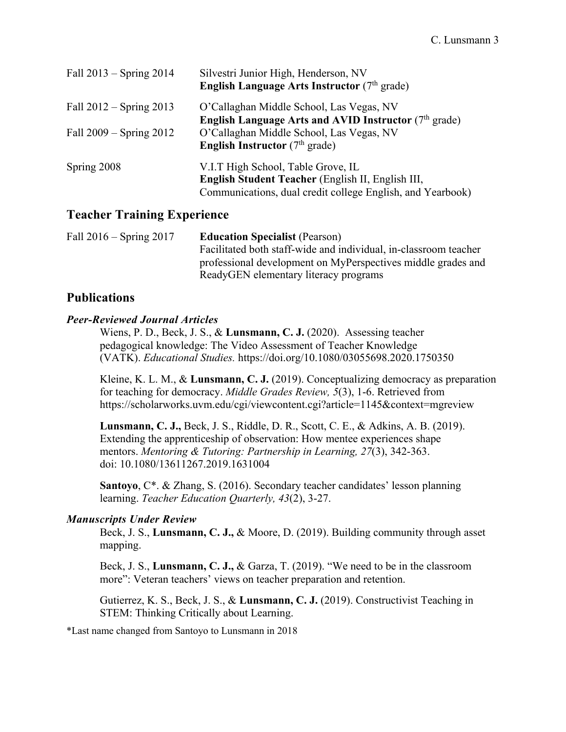| Fall $2013$ – Spring $2014$ | Silvestri Junior High, Henderson, NV<br><b>English Language Arts Instructor</b> (7 <sup>th</sup> grade)                                               |
|-----------------------------|-------------------------------------------------------------------------------------------------------------------------------------------------------|
| Fall $2012 -$ Spring $2013$ | O'Callaghan Middle School, Las Vegas, NV<br><b>English Language Arts and AVID Instructor</b> ( $7th$ grade)                                           |
| Fall $2009 -$ Spring $2012$ | O'Callaghan Middle School, Las Vegas, NV<br><b>English Instructor</b> ( $7th$ grade)                                                                  |
| Spring 2008                 | V.I.T High School, Table Grove, IL<br>English Student Teacher (English II, English III,<br>Communications, dual credit college English, and Yearbook) |

## **Teacher Training Experience**

| Fall $2016 -$ Spring $2017$ | <b>Education Specialist (Pearson)</b>                            |
|-----------------------------|------------------------------------------------------------------|
|                             | Facilitated both staff-wide and individual, in-classroom teacher |
|                             | professional development on MyPerspectives middle grades and     |
|                             | ReadyGEN elementary literacy programs                            |

## **Publications**

#### *Peer-Reviewed Journal Articles*

Wiens, P. D., Beck, J. S., & **Lunsmann, C. J.** (2020). Assessing teacher pedagogical knowledge: The Video Assessment of Teacher Knowledge (VATK). *Educational Studies.* https://doi.org/10.1080/03055698.2020.1750350

Kleine, K. L. M., & **Lunsmann, C. J.** (2019). Conceptualizing democracy as preparation for teaching for democracy. *Middle Grades Review, 5*(3), 1-6. Retrieved from https://scholarworks.uvm.edu/cgi/viewcontent.cgi?article=1145&context=mgreview

**Lunsmann, C. J.,** Beck, J. S., Riddle, D. R., Scott, C. E., & Adkins, A. B. (2019). Extending the apprenticeship of observation: How mentee experiences shape mentors. *Mentoring & Tutoring: Partnership in Learning, 27*(3), 342-363. doi: 10.1080/13611267.2019.1631004

**Santoyo**, C\*. & Zhang, S. (2016). Secondary teacher candidates' lesson planning learning. *Teacher Education Quarterly, 43*(2), 3-27.

#### *Manuscripts Under Review*

Beck, J. S., **Lunsmann, C. J.,** & Moore, D. (2019). Building community through asset mapping.

Beck, J. S., **Lunsmann, C. J.,** & Garza, T. (2019). "We need to be in the classroom more": Veteran teachers' views on teacher preparation and retention.

Gutierrez, K. S., Beck, J. S., & **Lunsmann, C. J.** (2019). Constructivist Teaching in STEM: Thinking Critically about Learning.

\*Last name changed from Santoyo to Lunsmann in 2018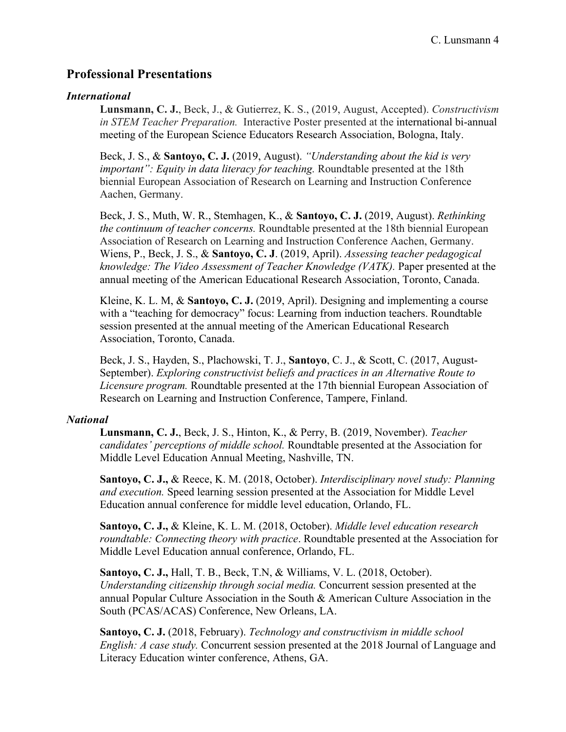## **Professional Presentations**

#### *International*

**Lunsmann, C. J.**, Beck, J., & Gutierrez, K. S., (2019, August, Accepted). *Constructivism in STEM Teacher Preparation.* Interactive Poster presented at the international bi-annual meeting of the European Science Educators Research Association, Bologna, Italy.

Beck, J. S., & **Santoyo, C. J.** (2019, August). *"Understanding about the kid is very important": Equity in data literacy for teaching.* Roundtable presented at the 18th biennial European Association of Research on Learning and Instruction Conference Aachen, Germany.

Beck, J. S., Muth, W. R., Stemhagen, K., & **Santoyo, C. J.** (2019, August). *Rethinking the continuum of teacher concerns.* Roundtable presented at the 18th biennial European Association of Research on Learning and Instruction Conference Aachen, Germany. Wiens, P., Beck, J. S., & **Santoyo, C. J**. (2019, April). *Assessing teacher pedagogical knowledge: The Video Assessment of Teacher Knowledge (VATK).* Paper presented at the annual meeting of the American Educational Research Association, Toronto, Canada.

Kleine, K. L. M, & **Santoyo, C. J.** (2019, April). Designing and implementing a course with a "teaching for democracy" focus: Learning from induction teachers. Roundtable session presented at the annual meeting of the American Educational Research Association, Toronto, Canada.

Beck, J. S., Hayden, S., Plachowski, T. J., **Santoyo**, C. J., & Scott, C. (2017, August-September). *Exploring constructivist beliefs and practices in an Alternative Route to Licensure program.* Roundtable presented at the 17th biennial European Association of Research on Learning and Instruction Conference, Tampere, Finland.

#### *National*

**Lunsmann, C. J.**, Beck, J. S., Hinton, K., & Perry, B. (2019, November). *Teacher candidates' perceptions of middle school.* Roundtable presented at the Association for Middle Level Education Annual Meeting, Nashville, TN.

**Santoyo, C. J.,** & Reece, K. M. (2018, October). *Interdisciplinary novel study: Planning and execution.* Speed learning session presented at the Association for Middle Level Education annual conference for middle level education, Orlando, FL.

**Santoyo, C. J.,** & Kleine, K. L. M. (2018, October). *Middle level education research roundtable: Connecting theory with practice*. Roundtable presented at the Association for Middle Level Education annual conference, Orlando, FL.

**Santoyo, C. J.,** Hall, T. B., Beck, T.N, & Williams, V. L. (2018, October). *Understanding citizenship through social media.* Concurrent session presented at the annual Popular Culture Association in the South & American Culture Association in the South (PCAS/ACAS) Conference, New Orleans, LA.

**Santoyo, C. J.** (2018, February). *Technology and constructivism in middle school English: A case study.* Concurrent session presented at the 2018 Journal of Language and Literacy Education winter conference, Athens, GA.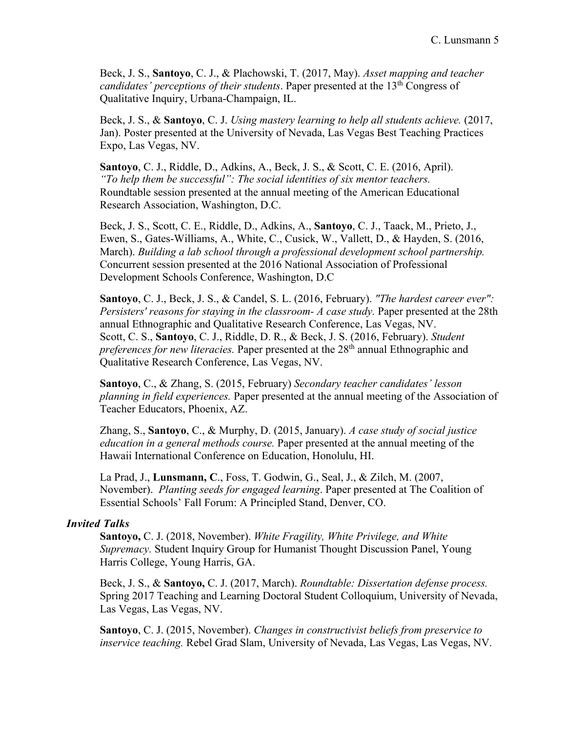Beck, J. S., **Santoyo**, C. J., & Plachowski, T. (2017, May). *Asset mapping and teacher candidates' perceptions of their students.* Paper presented at the 13<sup>th</sup> Congress of Qualitative Inquiry, Urbana-Champaign, IL.

Beck, J. S., & **Santoyo**, C. J. *Using mastery learning to help all students achieve.* (2017, Jan). Poster presented at the University of Nevada, Las Vegas Best Teaching Practices Expo, Las Vegas, NV.

**Santoyo**, C. J., Riddle, D., Adkins, A., Beck, J. S., & Scott, C. E. (2016, April). *"To help them be successful": The social identities of six mentor teachers.* Roundtable session presented at the annual meeting of the American Educational Research Association, Washington, D.C.

Beck, J. S., Scott, C. E., Riddle, D., Adkins, A., **Santoyo**, C. J., Taack, M., Prieto, J., Ewen, S., Gates-Williams, A., White, C., Cusick, W., Vallett, D., & Hayden, S. (2016, March). *Building a lab school through a professional development school partnership.*  Concurrent session presented at the 2016 National Association of Professional Development Schools Conference, Washington, D.C

**Santoyo**, C. J., Beck, J. S., & Candel, S. L. (2016, February). *"The hardest career ever": Persisters' reasons for staying in the classroom- A case study.* Paper presented at the 28th annual Ethnographic and Qualitative Research Conference, Las Vegas, NV. Scott, C. S., **Santoyo**, C. J., Riddle, D. R., & Beck, J. S. (2016, February). *Student preferences for new literacies.* Paper presented at the 28<sup>th</sup> annual Ethnographic and Qualitative Research Conference, Las Vegas, NV.

**Santoyo**, C., & Zhang, S. (2015, February) *Secondary teacher candidates' lesson planning in field experiences.* Paper presented at the annual meeting of the Association of Teacher Educators, Phoenix, AZ.

Zhang, S., **Santoyo**, C., & Murphy, D. (2015, January). *A case study of social justice education in a general methods course.* Paper presented at the annual meeting of the Hawaii International Conference on Education, Honolulu, HI.

La Prad, J., **Lunsmann, C**., Foss, T. Godwin, G., Seal, J., & Zilch, M. (2007, November). *Planting seeds for engaged learning*. Paper presented at The Coalition of Essential Schools' Fall Forum: A Principled Stand, Denver, CO.

#### *Invited Talks*

**Santoyo,** C. J. (2018, November). *White Fragility, White Privilege, and White Supremacy.* Student Inquiry Group for Humanist Thought Discussion Panel, Young Harris College, Young Harris, GA.

Beck, J. S., & **Santoyo,** C. J. (2017, March). *Roundtable: Dissertation defense process.* Spring 2017 Teaching and Learning Doctoral Student Colloquium, University of Nevada, Las Vegas, Las Vegas, NV.

**Santoyo**, C. J. (2015, November). *Changes in constructivist beliefs from preservice to inservice teaching.* Rebel Grad Slam, University of Nevada, Las Vegas, Las Vegas, NV.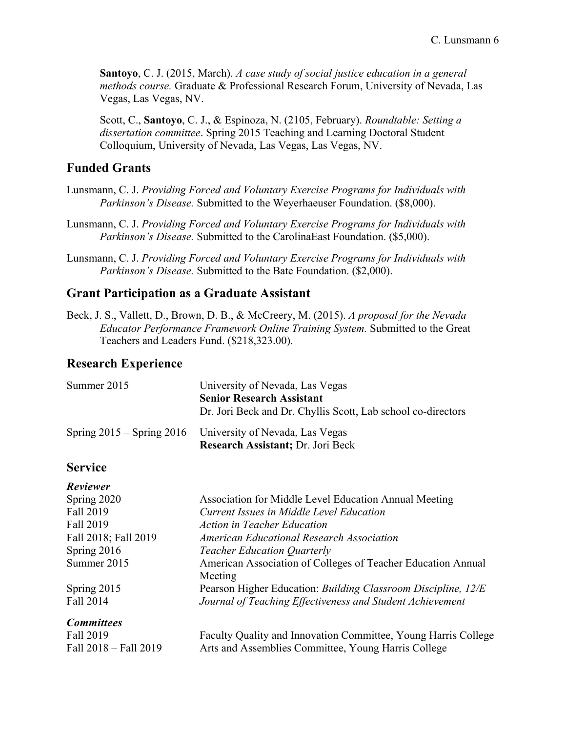**Santoyo**, C. J. (2015, March). *A case study of social justice education in a general methods course.* Graduate & Professional Research Forum, University of Nevada, Las Vegas, Las Vegas, NV.

Scott, C., **Santoyo**, C. J., & Espinoza, N. (2105, February). *Roundtable: Setting a dissertation committee*. Spring 2015 Teaching and Learning Doctoral Student Colloquium, University of Nevada, Las Vegas, Las Vegas, NV.

## **Funded Grants**

- Lunsmann, C. J. *Providing Forced and Voluntary Exercise Programs for Individuals with Parkinson's Disease.* Submitted to the Weyerhaeuser Foundation. (\$8,000).
- Lunsmann, C. J. *Providing Forced and Voluntary Exercise Programs for Individuals with Parkinson's Disease.* Submitted to the CarolinaEast Foundation. (\$5,000).
- Lunsmann, C. J. *Providing Forced and Voluntary Exercise Programs for Individuals with Parkinson's Disease.* Submitted to the Bate Foundation. (\$2,000).

#### **Grant Participation as a Graduate Assistant**

Beck, J. S., Vallett, D., Brown, D. B., & McCreery, M. (2015). *A proposal for the Nevada Educator Performance Framework Online Training System.* Submitted to the Great Teachers and Leaders Fund. (\$218,323.00).

## **Research Experience**

| Summer 2015 | University of Nevada, Las Vegas                                                                        |
|-------------|--------------------------------------------------------------------------------------------------------|
|             | <b>Senior Research Assistant</b>                                                                       |
|             | Dr. Jori Beck and Dr. Chyllis Scott, Lab school co-directors                                           |
|             | Spring 2015 – Spring 2016 University of Nevada, Las Vegas<br><b>Research Assistant</b> ; Dr. Jori Beck |

## **Service**

| Reviewer              |                                                                |
|-----------------------|----------------------------------------------------------------|
| Spring 2020           | Association for Middle Level Education Annual Meeting          |
| Fall 2019             | Current Issues in Middle Level Education                       |
| Fall 2019             | <b>Action in Teacher Education</b>                             |
| Fall 2018; Fall 2019  | American Educational Research Association                      |
| Spring 2016           | <b>Teacher Education Quarterly</b>                             |
| Summer 2015           | American Association of Colleges of Teacher Education Annual   |
|                       | Meeting                                                        |
| Spring 2015           | Pearson Higher Education: Building Classroom Discipline, 12/E  |
| Fall 2014             | Journal of Teaching Effectiveness and Student Achievement      |
| <b>Committees</b>     |                                                                |
| Fall 2019             | Faculty Quality and Innovation Committee, Young Harris College |
| Fall 2018 - Fall 2019 | Arts and Assemblies Committee, Young Harris College            |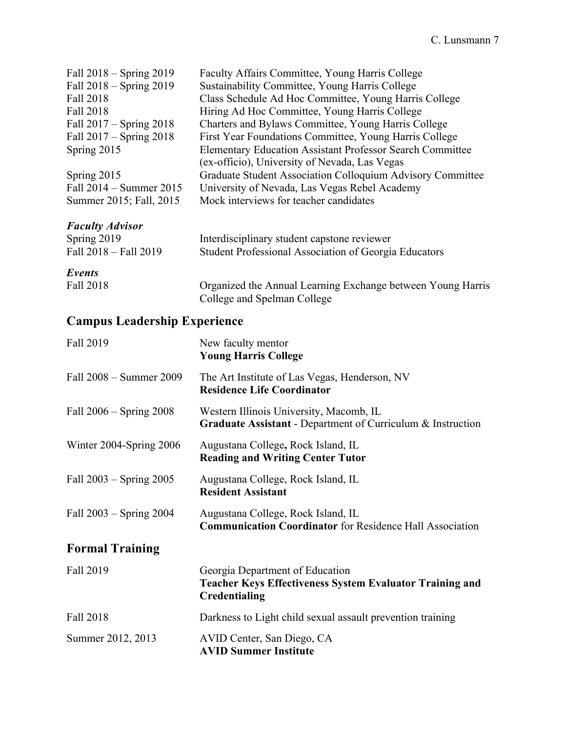| Fall 2018 – Spring 2019                                               | Faculty Affairs Committee, Young Harris College                                                                                                                                                        |
|-----------------------------------------------------------------------|--------------------------------------------------------------------------------------------------------------------------------------------------------------------------------------------------------|
| Fall $2018$ – Spring $2019$                                           | Sustainability Committee, Young Harris College                                                                                                                                                         |
| Fall 2018                                                             | Class Schedule Ad Hoc Committee, Young Harris College                                                                                                                                                  |
| Fall 2018                                                             | Hiring Ad Hoc Committee, Young Harris College                                                                                                                                                          |
| Fall $2017 -$ Spring $2018$                                           | Charters and Bylaws Committee, Young Harris College                                                                                                                                                    |
| Fall $2017 -$ Spring $2018$                                           | First Year Foundations Committee, Young Harris College                                                                                                                                                 |
| Spring 2015                                                           | <b>Elementary Education Assistant Professor Search Committee</b>                                                                                                                                       |
| Spring 2015<br>Fall $2014 -$ Summer $2015$<br>Summer 2015; Fall, 2015 | (ex-officio), University of Nevada, Las Vegas<br>Graduate Student Association Colloquium Advisory Committee<br>University of Nevada, Las Vegas Rebel Academy<br>Mock interviews for teacher candidates |
| <b>Faculty Advisor</b><br>Spring 2019<br>Fall 2018 - Fall 2019        | Interdisciplinary student capstone reviewer<br>Student Professional Association of Georgia Educators                                                                                                   |
| Events                                                                | Organized the Annual Learning Exchange between Young Harris                                                                                                                                            |
| Fall 2018                                                             | College and Spelman College                                                                                                                                                                            |

# **Campus Leadership Experience**

| Fall 2019                   | New faculty mentor<br><b>Young Harris College</b>                                                                   |
|-----------------------------|---------------------------------------------------------------------------------------------------------------------|
| Fall 2008 – Summer 2009     | The Art Institute of Las Vegas, Henderson, NV<br><b>Residence Life Coordinator</b>                                  |
| Fall $2006 -$ Spring $2008$ | Western Illinois University, Macomb, IL<br>Graduate Assistant - Department of Curriculum & Instruction              |
| Winter 2004-Spring 2006     | Augustana College, Rock Island, IL<br><b>Reading and Writing Center Tutor</b>                                       |
| Fall $2003 -$ Spring $2005$ | Augustana College, Rock Island, IL<br><b>Resident Assistant</b>                                                     |
| Fall $2003 -$ Spring $2004$ | Augustana College, Rock Island, IL<br><b>Communication Coordinator</b> for Residence Hall Association               |
| <b>Formal Training</b>      |                                                                                                                     |
| Fall 2019                   | Georgia Department of Education<br><b>Teacher Keys Effectiveness System Evaluator Training and</b><br>Credentialing |
| Fall 2018                   | Darkness to Light child sexual assault prevention training                                                          |
| Summer 2012, 2013           | AVID Center, San Diego, CA<br><b>AVID Summer Institute</b>                                                          |